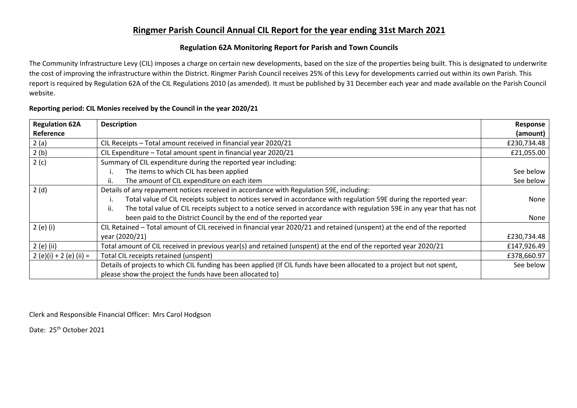## **Ringmer Parish Council Annual CIL Report for the year ending 31st March 2021**

## **Regulation 62A Monitoring Report for Parish and Town Councils**

The Community Infrastructure Levy (CIL) imposes a charge on certain new developments, based on the size of the properties being built. This is designated to underwrite the cost of improving the infrastructure within the District. Ringmer Parish Council receives 25% of this Levy for developments carried out within its own Parish. This report is required by Regulation 62A of the CIL Regulations 2010 (as amended). It must be published by 31 December each year and made available on the Parish Council website.

| <b>Regulation 62A</b>   | <b>Description</b>                                                                                                      | Response    |  |  |  |  |
|-------------------------|-------------------------------------------------------------------------------------------------------------------------|-------------|--|--|--|--|
| Reference               |                                                                                                                         | (amount)    |  |  |  |  |
| 2(a)                    | CIL Receipts - Total amount received in financial year 2020/21                                                          |             |  |  |  |  |
| 2(b)                    | CIL Expenditure - Total amount spent in financial year 2020/21                                                          |             |  |  |  |  |
| 2(c)                    | Summary of CIL expenditure during the reported year including:                                                          |             |  |  |  |  |
|                         | The items to which CIL has been applied                                                                                 | See below   |  |  |  |  |
|                         | The amount of CIL expenditure on each item                                                                              | See below   |  |  |  |  |
| 2(d)                    | Details of any repayment notices received in accordance with Regulation 59E, including:                                 |             |  |  |  |  |
|                         | Total value of CIL receipts subject to notices served in accordance with regulation 59E during the reported year:       | None        |  |  |  |  |
|                         | The total value of CIL receipts subject to a notice served in accordance with regulation 59E in any year that has not   |             |  |  |  |  |
|                         | been paid to the District Council by the end of the reported year                                                       | None        |  |  |  |  |
| $2(e)$ (i)              | CIL Retained - Total amount of CIL received in financial year 2020/21 and retained (unspent) at the end of the reported |             |  |  |  |  |
|                         | year (2020/21)                                                                                                          | £230,734.48 |  |  |  |  |
| 2 (e) (ii)              | Total amount of CIL received in previous year(s) and retained (unspent) at the end of the reported year 2020/21         | £147,926.49 |  |  |  |  |
| 2 (e)(i) + 2 (e) (ii) = | Total CIL receipts retained (unspent)                                                                                   | £378,660.97 |  |  |  |  |
|                         | Details of projects to which CIL funding has been applied (If CIL funds have been allocated to a project but not spent, | See below   |  |  |  |  |
|                         | please show the project the funds have been allocated to)                                                               |             |  |  |  |  |

## **Reporting period: CIL Monies received by the Council in the year 2020/21**

Clerk and Responsible Financial Officer: Mrs Carol Hodgson

Date: 25<sup>th</sup> October 2021